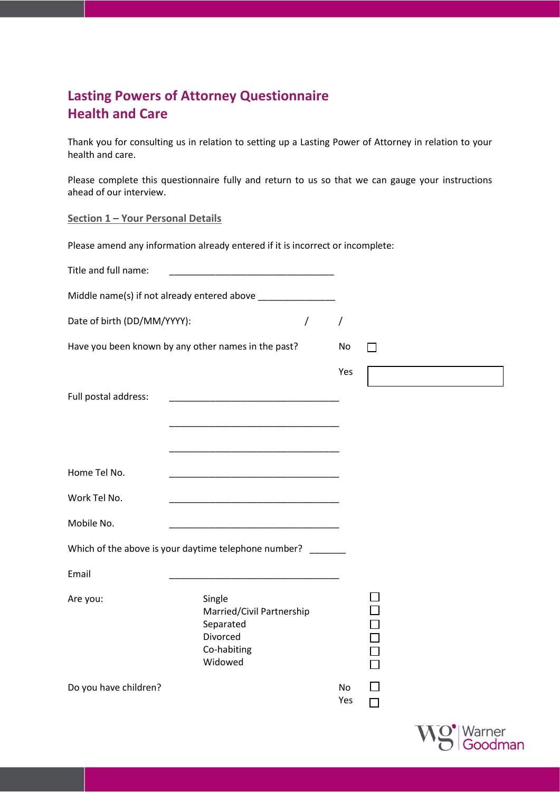# **Lasting Powers of Attorney Questionnaire Health and Care**

Thank you for consulting us in relation to setting up a Lasting Power of Attorney in relation to your health and care.

Please complete this questionnaire fully and return to us so that we can gauge your instructions ahead of our interview.

**Section 1 – Your Personal Details**

Please amend any information already entered if it is incorrect or incomplete:

| Title and full name:                                |                                                                                           |           |        |         |  |
|-----------------------------------------------------|-------------------------------------------------------------------------------------------|-----------|--------|---------|--|
|                                                     | Middle name(s) if not already entered above ________________                              |           |        |         |  |
| $\overline{1}$<br>Date of birth (DD/MM/YYYY):       |                                                                                           | $\prime$  |        |         |  |
| Have you been known by any other names in the past? |                                                                                           | No        | $\sim$ |         |  |
|                                                     |                                                                                           | Yes       |        |         |  |
| Full postal address:                                | <u> 1980 - Johann John Stone, mars eta biztanleria (</u>                                  |           |        |         |  |
|                                                     |                                                                                           |           |        |         |  |
|                                                     |                                                                                           |           |        |         |  |
| Home Tel No.                                        |                                                                                           |           |        |         |  |
| Work Tel No.                                        | the control of the control of the control of the control of the control of the control of |           |        |         |  |
| Mobile No.                                          |                                                                                           |           |        |         |  |
|                                                     | Which of the above is your daytime telephone number?                                      |           |        |         |  |
| Email                                               |                                                                                           |           |        |         |  |
| Are you:                                            | Single<br>Married/Civil Partnership<br>Separated<br>Divorced                              |           |        |         |  |
|                                                     | Co-habiting<br>Widowed                                                                    |           |        |         |  |
| Do you have children?                               |                                                                                           | No<br>Yes | П      |         |  |
|                                                     |                                                                                           |           |        | Goodman |  |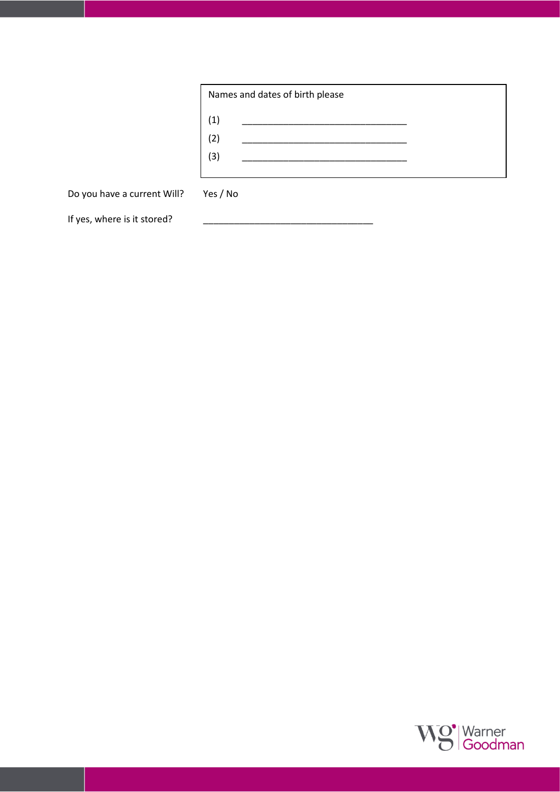

Do you have a current Will? Yes / No

If yes, where is it stored?

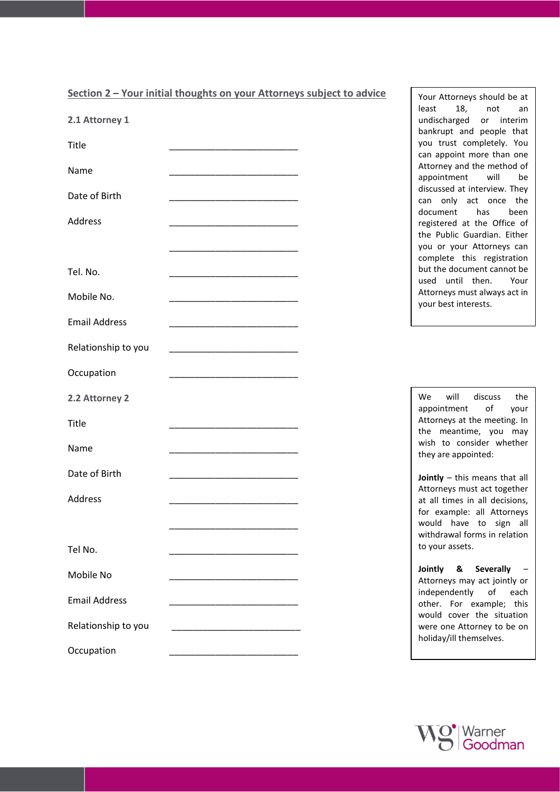| Section 2 – Your initial thoughts on your Attorneys subject to advice | You        |
|-----------------------------------------------------------------------|------------|
|                                                                       | leas       |
| 2.1 Attorney 1                                                        | unc        |
|                                                                       | bar        |
| Title                                                                 | vou        |
|                                                                       | can        |
| Name                                                                  | <b>Att</b> |
|                                                                       | app        |

ur Attorneys should be at st 18, not an discharged or interim ikrupt and people that u trust completely. You appoint more than one orney and the method of appointment will be discussed at interview. They can only act once the document has been registered at the Office of the Public Guardian. Either you or your Attorneys can complete this registration but the document cannot be used until then. Your Attorneys must always act in your best interests.

We will discuss the appointment of your Attorneys at the meeting. In the meantime, you may wish to consider whether they are appointed:

**Jointly** – this means that all Attorneys must act together at all times in all decisions, for example: all Attorneys would have to sign all withdrawal forms in relation to your assets.

**Jointly & Severally** – Attorneys may act jointly or independently of each other. For example; this would cover the situation were one Attorney to be on holiday/ill themselves.



Title \_\_\_\_\_\_\_\_\_\_\_\_\_\_\_\_\_\_\_\_\_\_\_\_\_ Name \_\_\_\_\_\_\_\_\_\_\_\_\_\_\_\_\_\_\_\_\_\_\_\_\_ Date of Birth Address \_\_\_\_\_\_\_\_\_\_\_\_\_\_\_\_\_\_\_\_\_\_\_\_\_ \_\_\_\_\_\_\_\_\_\_\_\_\_\_\_\_\_\_\_\_\_\_\_\_\_ Tel. No. Mobile No. Email Address \_\_\_\_\_\_\_\_\_\_\_\_\_\_\_\_\_\_\_\_\_\_\_\_\_ Relationship to you Occupation **2.2 Attorney 2** Title \_\_\_\_\_\_\_\_\_\_\_\_\_\_\_\_\_\_\_\_\_\_\_\_\_ Name \_\_\_\_\_\_\_\_\_\_\_\_\_\_\_\_\_\_\_\_\_\_\_\_\_ Date of Birth Address \_\_\_\_\_\_\_\_\_\_\_\_\_\_\_\_\_\_\_\_\_\_\_\_\_ \_\_\_\_\_\_\_\_\_\_\_\_\_\_\_\_\_\_\_\_\_\_\_\_\_ Tel No. Mobile No \_\_\_\_\_\_\_\_\_\_\_\_\_\_\_\_\_\_\_\_\_\_\_\_\_ Email Address \_\_\_\_\_\_\_\_\_\_\_\_\_\_\_\_\_\_\_\_\_\_\_\_\_ Relationship to you Occupation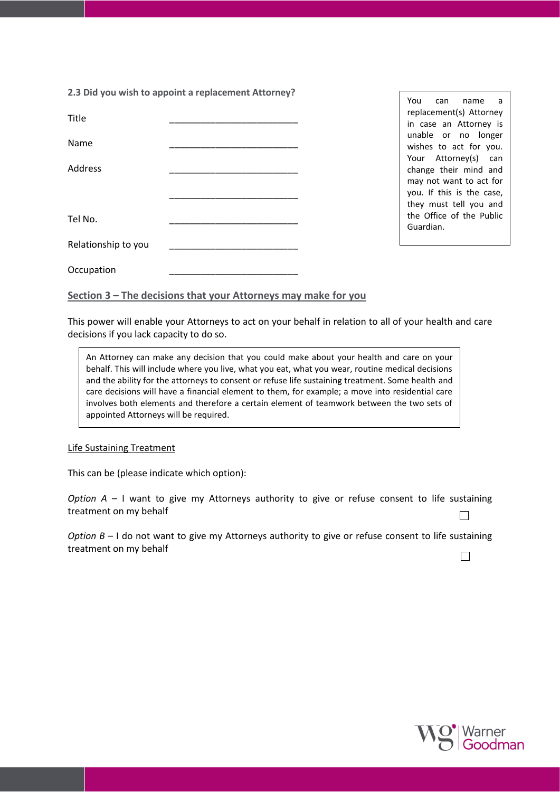|                     | 2.3 Did you wish to appoint a replacement Attorney? |                                                                                                         |
|---------------------|-----------------------------------------------------|---------------------------------------------------------------------------------------------------------|
|                     |                                                     | You<br>can<br>name<br>a a<br>replacement(s) Attorney                                                    |
| Title               |                                                     | in case an Attorney is                                                                                  |
| Name                |                                                     | unable or no longer<br>wishes to act for you.<br>Your Attorney(s) can                                   |
| Address             |                                                     | change their mind and<br>may not want to act for<br>you. If this is the case,<br>they must tell you and |
| Tel No.             |                                                     | the Office of the Public<br>Guardian.                                                                   |
| Relationship to you |                                                     |                                                                                                         |
| Occupation          |                                                     |                                                                                                         |

## **Section 3 – The decisions that your Attorneys may make for you**

This power will enable your Attorneys to act on your behalf in relation to all of your health and care decisions if you lack capacity to do so.

An Attorney can make any decision that you could make about your health and care on your behalf. This will include where you live, what you eat, what you wear, routine medical decisions and the ability for the attorneys to consent or refuse life sustaining treatment. Some health and care decisions will have a financial element to them, for example; a move into residential care involves both elements and therefore a certain element of teamwork between the two sets of appointed Attorneys will be required.

### Life Sustaining Treatment

This can be (please indicate which option):

*Option A* – I want to give my Attorneys authority to give or refuse consent to life sustaining treatment on my behalf П

*Option B* – I do not want to give my Attorneys authority to give or refuse consent to life sustaining treatment on my behalf  $\Box$ 

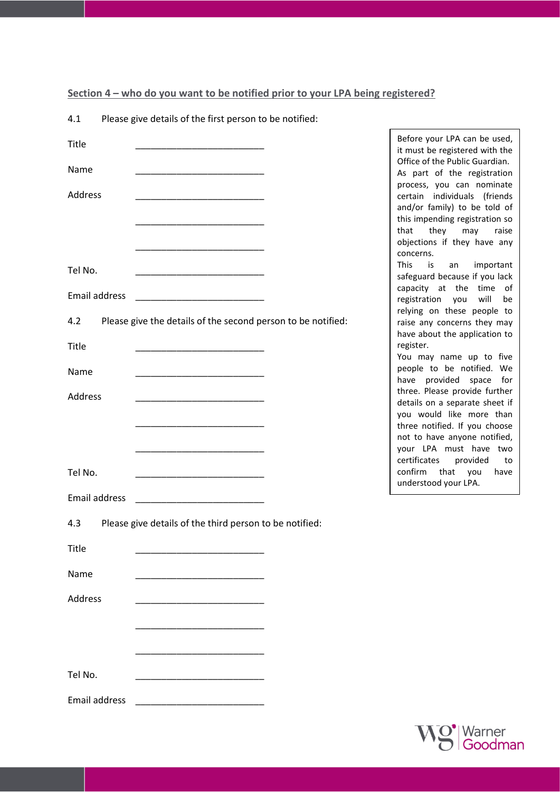| Section 4 – who do you want to be notified prior to your LPA being registered? |
|--------------------------------------------------------------------------------|
|--------------------------------------------------------------------------------|

| Please give details of the first person to be notified:<br>4.1      |                                                                                                                                                                                                                                                                                                                                            |
|---------------------------------------------------------------------|--------------------------------------------------------------------------------------------------------------------------------------------------------------------------------------------------------------------------------------------------------------------------------------------------------------------------------------------|
| Title<br>Name<br>Address                                            | Before your LPA can be used,<br>it must be registered with the<br>Office of the Public Guardian.<br>As part of the registration<br>process, you can nominate<br>certain individuals (friends<br>and/or family) to be told of<br>this impending registration so<br>they<br>that<br>may<br>raise<br>objections if they have any<br>concerns. |
| Tel No.                                                             | This<br>is<br>important<br>an<br>safeguard because if you lack                                                                                                                                                                                                                                                                             |
| Email address                                                       | capacity at the time of<br>registration you<br>will<br>be<br>relying on these people to                                                                                                                                                                                                                                                    |
| Please give the details of the second person to be notified:<br>4.2 | raise any concerns they may<br>have about the application to                                                                                                                                                                                                                                                                               |
| Title                                                               | register.<br>You may name up to five                                                                                                                                                                                                                                                                                                       |
| Name                                                                | people to be notified. We<br>have provided space for                                                                                                                                                                                                                                                                                       |
| Address                                                             | three. Please provide further<br>details on a separate sheet if<br>you would like more than                                                                                                                                                                                                                                                |
|                                                                     | three notified. If you choose<br>not to have anyone notified,                                                                                                                                                                                                                                                                              |
| Tel No.                                                             | your LPA must have two<br>certificates<br>provided<br>to<br>confirm<br>that<br>you<br>have<br>understood your LPA.                                                                                                                                                                                                                         |
| Email address                                                       |                                                                                                                                                                                                                                                                                                                                            |
| Please give details of the third person to be notified:<br>4.3      |                                                                                                                                                                                                                                                                                                                                            |
| Title                                                               |                                                                                                                                                                                                                                                                                                                                            |
| Name                                                                |                                                                                                                                                                                                                                                                                                                                            |
| Address                                                             |                                                                                                                                                                                                                                                                                                                                            |
|                                                                     |                                                                                                                                                                                                                                                                                                                                            |
|                                                                     |                                                                                                                                                                                                                                                                                                                                            |
| Tel No.                                                             |                                                                                                                                                                                                                                                                                                                                            |
| Email address                                                       |                                                                                                                                                                                                                                                                                                                                            |